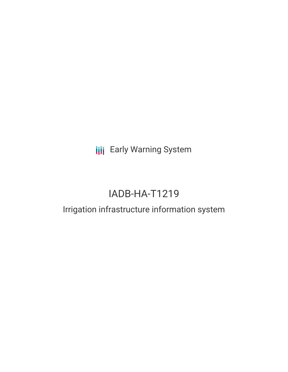**III** Early Warning System

# IADB-HA-T1219

## Irrigation infrastructure information system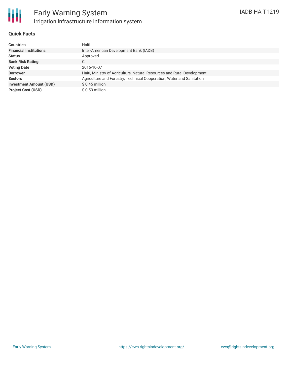

#### **Quick Facts**

| <b>Countries</b>               | Haiti                                                                   |
|--------------------------------|-------------------------------------------------------------------------|
| <b>Financial Institutions</b>  | Inter-American Development Bank (IADB)                                  |
| <b>Status</b>                  | Approved                                                                |
| <b>Bank Risk Rating</b>        | C                                                                       |
| <b>Voting Date</b>             | 2016-10-07                                                              |
| <b>Borrower</b>                | Haiti, Ministry of Agriculture, Natural Resources and Rural Development |
| <b>Sectors</b>                 | Agriculture and Forestry, Technical Cooperation, Water and Sanitation   |
| <b>Investment Amount (USD)</b> | $$0.45$ million                                                         |
| <b>Project Cost (USD)</b>      | $$0.53$ million                                                         |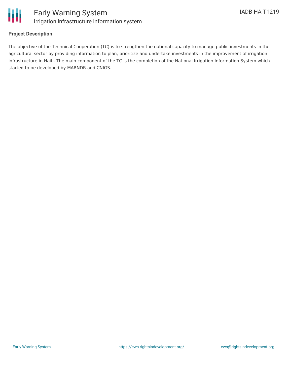

### **Project Description**

The objective of the Technical Cooperation (TC) is to strengthen the national capacity to manage public investments in the agricultural sector by providing information to plan, prioritize and undertake investments in the improvement of irrigation infrastructure in Haiti. The main component of the TC is the completion of the National Irrigation Information System which started to be developed by MARNDR and CNIGS.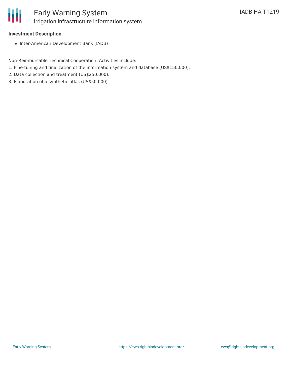

### **Investment Description**

• Inter-American Development Bank (IADB)

Non-Reimbursable Technical Cooperation. Activities include:

- 1. Fine-tuning and finalization of the information system and database (US\$150,000).
- 2. Data collection and treatment (US\$250,000).
- 3. Elaboration of a synthetic atlas (US\$50,000)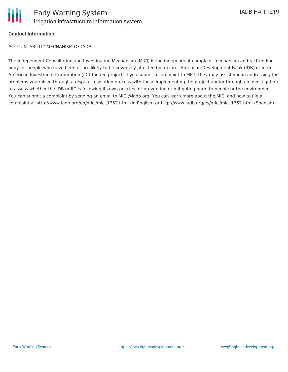

#### **Contact Information**

ACCOUNTABILITY MECHANISM OF IADB

The Independent Consultation and Investigation Mechanism (MICI) is the independent complaint mechanism and fact-finding body for people who have been or are likely to be adversely affected by an Inter-American Development Bank (IDB) or Inter-American Investment Corporation (IIC)-funded project. If you submit a complaint to MICI, they may assist you in addressing the problems you raised through a dispute-resolution process with those implementing the project and/or through an investigation to assess whether the IDB or IIC is following its own policies for preventing or mitigating harm to people or the environment. You can submit a complaint by sending an email to MICI@iadb.org. You can learn more about the MICI and how to file a complaint at http://www.iadb.org/en/mici/mici,1752.html (in English) or http://www.iadb.org/es/mici/mici,1752.html (Spanish).